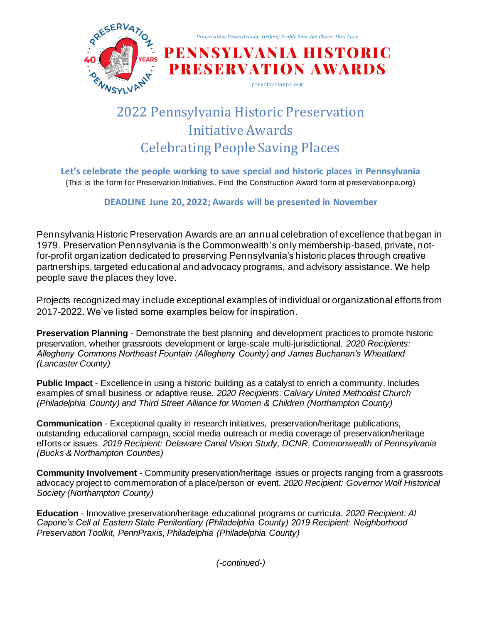

# 2022 Pennsylvania Historic Preservation Initiative Awards Celebrating People Saving Places

**Let's celebrate the people working to save special and historic places in Pennsylvania** {This is the form for Preservation Initiatives. Find the Construction Award form at preservationpa.org)

**DEADLINE June 20, 2022; Awards will be presented in November**

Pennsylvania Historic Preservation Awards are an annual celebration of excellence that began in 1979. Preservation Pennsylvania is the Commonwealth's only membership-based, private, notfor-profit organization dedicated to preserving Pennsylvania's historic places through creative partnerships, targeted educational and advocacy programs, and advisory assistance. We help people save the places they love.

Projects recognized may include exceptional examples of individual or organizational efforts from 2017-2022. We've listed some examples below for inspiration.

**Preservation Planning** - Demonstrate the best planning and development practices to promote historic preservation, whether grassroots development or large-scale multi-jurisdictional. *2020 Recipients: Allegheny Commons Northeast Fountain (Allegheny County) and James Buchanan's Wheatland (Lancaster County)* 

**Public Impact** - Excellence in using a historic building as a catalyst to enrich a community. Includes examples of small business or adaptive reuse. *2020 Recipients: Calvary United Methodist Church (Philadelphia County) and Third Street Alliance for Women & Children (Northampton County)* 

**Communication** - Exceptional quality in research initiatives, preservation/heritage publications, outstanding educational campaign, social media outreach or media coverage of preservation/heritage efforts or issues. *2019 Recipient: Delaware Canal Vision Study, DCNR, Commonwealth of Pennsylvania (Bucks & Northampton Counties)* 

**Community Involvement** - Community preservation/heritage issues or projects ranging from a grassroots advocacy project to commemoration of a place/person or event. *2020 Recipient: Governor Wolf Historical Society (Northampton County)* 

**Education** - Innovative preservation/heritage educational programs or curricula. *2020 Recipient: Al Capone's Cell at Eastern State Penitentiary (Philadelphia County) 2019 Recipient: Neighborhood Preservation Toolkit, PennPraxis, Philadelphia (Philadelphia County)*

*(-continued-)*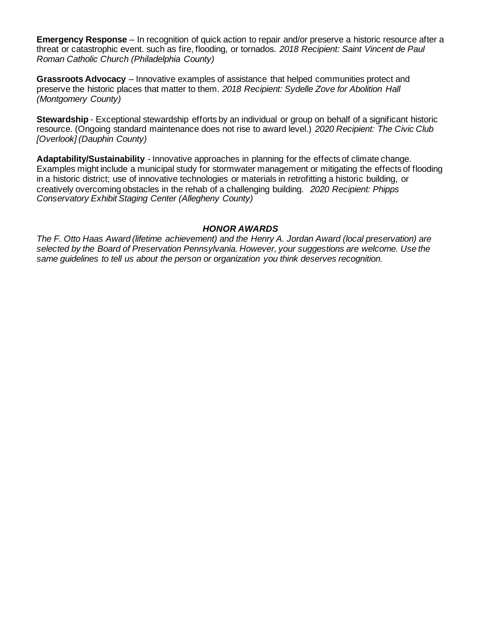**Emergency Response** – In recognition of quick action to repair and/or preserve a historic resource after a threat or catastrophic event. such as fire, flooding, or tornados. *2018 Recipient: Saint Vincent de Paul Roman Catholic Church (Philadelphia County)*

**Grassroots Advocacy** – Innovative examples of assistance that helped communities protect and preserve the historic places that matter to them. *2018 Recipient: Sydelle Zove for Abolition Hall (Montgomery County)*

**Stewardship** - Exceptional stewardship efforts by an individual or group on behalf of a significant historic resource. (Ongoing standard maintenance does not rise to award level.) *2020 Recipient: The Civic Club [Overlook] (Dauphin County)* 

**Adaptability/Sustainability** - Innovative approaches in planning for the effects of climate change. Examples might include a municipal study for stormwater management or mitigating the effects of flooding in a historic district; use of innovative technologies or materials in retrofitting a historic building, or creatively overcoming obstacles in the rehab of a challenging building. *2020 Recipient: Phipps Conservatory Exhibit Staging Center (Allegheny County)* 

### *HONOR AWARDS*

*The F. Otto Haas Award (lifetime achievement) and the Henry A. Jordan Award (local preservation) are selected by the Board of Preservation Pennsylvania. However, your suggestions are welcome. Use the same guidelines to tell us about the person or organization you think deserves recognition.*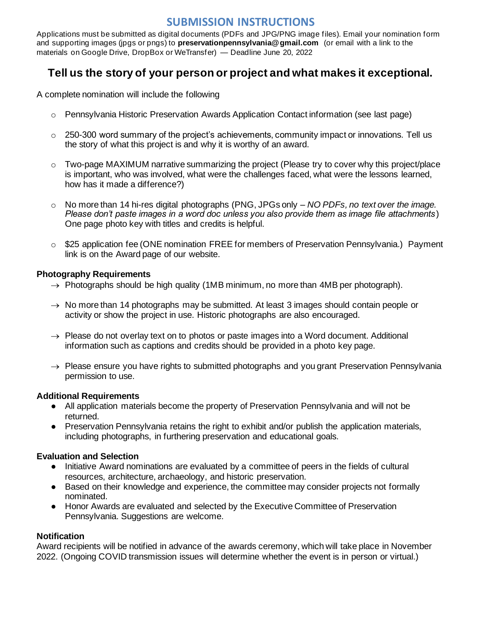## **SUBMISSION INSTRUCTIONS**

Applications must be submitted as digital documents (PDFs and JPG/PNG image files). Email your nomination form and supporting images (jpgs or pngs) to **preservationpennsylvania@gmail.com** (or email with a link to the materials on Google Drive, DropBox or WeTransfer) — Deadline June 20, 2022

## **Tell us the story of your person or project and what makes it exceptional.**

A complete nomination will include the following

- o Pennsylvania Historic Preservation Awards Application Contact information (see last page)
- $\circ$  250-300 word summary of the project's achievements, community impact or innovations. Tell us the story of what this project is and why it is worthy of an award.
- o Two-page MAXIMUM narrative summarizing the project (Please try to cover why this project/place is important, who was involved, what were the challenges faced, what were the lessons learned, how has it made a difference?)
- o No more than 14 hi-res digital photographs (PNG, JPGs only *NO PDFs, no text over the image. Please don't paste images in a word doc unless you also provide them as image file attachments*) One page photo key with titles and credits is helpful.
- $\circ$  \$25 application fee (ONE nomination FREE for members of Preservation Pennsylvania.) Payment link is on the Award page of our website.

## **Photography Requirements**

- $\rightarrow$  Photographs should be high quality (1MB minimum, no more than 4MB per photograph).
- $\rightarrow$  No more than 14 photographs may be submitted. At least 3 images should contain people or activity or show the project in use. Historic photographs are also encouraged.
- $\rightarrow$  Please do not overlay text on to photos or paste images into a Word document. Additional information such as captions and credits should be provided in a photo key page.
- $\rightarrow$  Please ensure you have rights to submitted photographs and you grant Preservation Pennsylvania permission to use.

## **Additional Requirements**

- All application materials become the property of Preservation Pennsylvania and will not be returned.
- Preservation Pennsylvania retains the right to exhibit and/or publish the application materials, including photographs, in furthering preservation and educational goals.

## **Evaluation and Selection**

- Initiative Award nominations are evaluated by a committee of peers in the fields of cultural resources, architecture, archaeology, and historic preservation.
- Based on their knowledge and experience, the committee may consider projects not formally nominated.
- Honor Awards are evaluated and selected by the Executive Committee of Preservation Pennsylvania. Suggestions are welcome.

## **Notification**

Award recipients will be notified in advance of the awards ceremony, which will take place in November 2022. (Ongoing COVID transmission issues will determine whether the event is in person or virtual.)